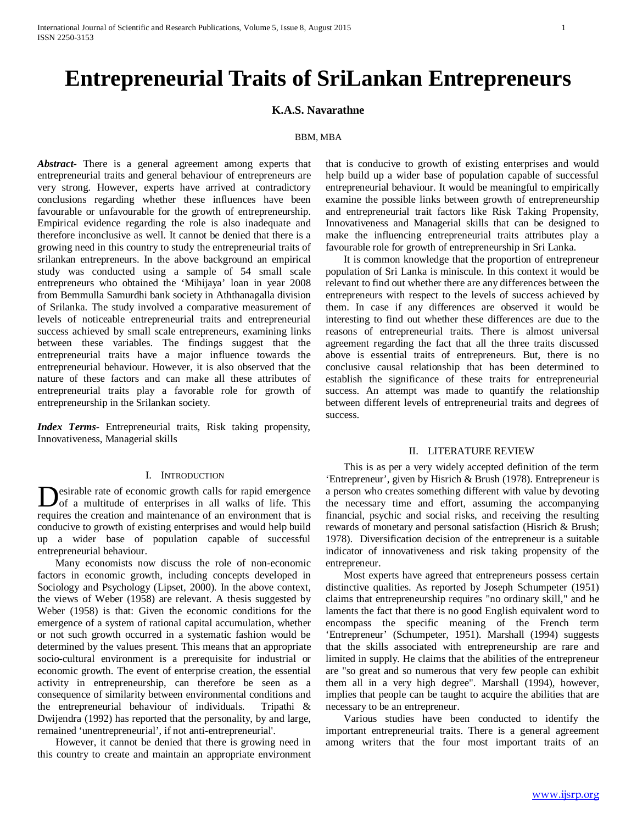# **Entrepreneurial Traits of SriLankan Entrepreneurs**

# **K.A.S. Navarathne**

# BBM, MBA

*Abstract***-** There is a general agreement among experts that entrepreneurial traits and general behaviour of entrepreneurs are very strong. However, experts have arrived at contradictory conclusions regarding whether these influences have been favourable or unfavourable for the growth of entrepreneurship. Empirical evidence regarding the role is also inadequate and therefore inconclusive as well. It cannot be denied that there is a growing need in this country to study the entrepreneurial traits of srilankan entrepreneurs. In the above background an empirical study was conducted using a sample of 54 small scale entrepreneurs who obtained the 'Mihijaya' loan in year 2008 from Bemmulla Samurdhi bank society in Aththanagalla division of Srilanka. The study involved a comparative measurement of levels of noticeable entrepreneurial traits and entrepreneurial success achieved by small scale entrepreneurs, examining links between these variables. The findings suggest that the entrepreneurial traits have a major influence towards the entrepreneurial behaviour. However, it is also observed that the nature of these factors and can make all these attributes of entrepreneurial traits play a favorable role for growth of entrepreneurship in the Srilankan society.

*Index Terms*- Entrepreneurial traits, Risk taking propensity, Innovativeness, Managerial skills

## I. INTRODUCTION

esirable rate of economic growth calls for rapid emergence of a multitude of enterprises in all walks of life. This **D**esirable rate of economic growth calls for rapid emergence of a multitude of enterprises in all walks of life. This requires the creation and maintenance of an environment that is conducive to growth of existing enterprises and would help build up a wider base of population capable of successful entrepreneurial behaviour.

 Many economists now discuss the role of non-economic factors in economic growth, including concepts developed in Sociology and Psychology (Lipset, 2000). In the above context, the views of Weber (1958) are relevant. A thesis suggested by Weber (1958) is that: Given the economic conditions for the emergence of a system of rational capital accumulation, whether or not such growth occurred in a systematic fashion would be determined by the values present. This means that an appropriate socio-cultural environment is a prerequisite for industrial or economic growth. The event of enterprise creation, the essential activity in entrepreneurship, can therefore be seen as a consequence of similarity between environmental conditions and the entrepreneurial behaviour of individuals. Tripathi & Dwijendra (1992) has reported that the personality, by and large, remained 'unentrepreneurial', if not anti-entrepreneurial'.

 However, it cannot be denied that there is growing need in this country to create and maintain an appropriate environment that is conducive to growth of existing enterprises and would help build up a wider base of population capable of successful entrepreneurial behaviour. It would be meaningful to empirically examine the possible links between growth of entrepreneurship and entrepreneurial trait factors like Risk Taking Propensity, Innovativeness and Managerial skills that can be designed to make the influencing entrepreneurial traits attributes play a favourable role for growth of entrepreneurship in Sri Lanka.

 It is common knowledge that the proportion of entrepreneur population of Sri Lanka is miniscule. In this context it would be relevant to find out whether there are any differences between the entrepreneurs with respect to the levels of success achieved by them. In case if any differences are observed it would be interesting to find out whether these differences are due to the reasons of entrepreneurial traits. There is almost universal agreement regarding the fact that all the three traits discussed above is essential traits of entrepreneurs. But, there is no conclusive causal relationship that has been determined to establish the significance of these traits for entrepreneurial success. An attempt was made to quantify the relationship between different levels of entrepreneurial traits and degrees of success.

## II. LITERATURE REVIEW

 This is as per a very widely accepted definition of the term 'Entrepreneur', given by Hisrich & Brush (1978). Entrepreneur is a person who creates something different with value by devoting the necessary time and effort, assuming the accompanying financial, psychic and social risks, and receiving the resulting rewards of monetary and personal satisfaction (Hisrich & Brush; 1978). Diversification decision of the entrepreneur is a suitable indicator of innovativeness and risk taking propensity of the entrepreneur.

 Most experts have agreed that entrepreneurs possess certain distinctive qualities. As reported by Joseph Schumpeter (1951) claims that entrepreneurship requires "no ordinary skill," and he laments the fact that there is no good English equivalent word to encompass the specific meaning of the French term 'Entrepreneur' (Schumpeter, 1951). Marshall (1994) suggests that the skills associated with entrepreneurship are rare and limited in supply. He claims that the abilities of the entrepreneur are "so great and so numerous that very few people can exhibit them all in a very high degree". Marshall (1994), however, implies that people can be taught to acquire the abilities that are necessary to be an entrepreneur.

 Various studies have been conducted to identify the important entrepreneurial traits. There is a general agreement among writers that the four most important traits of an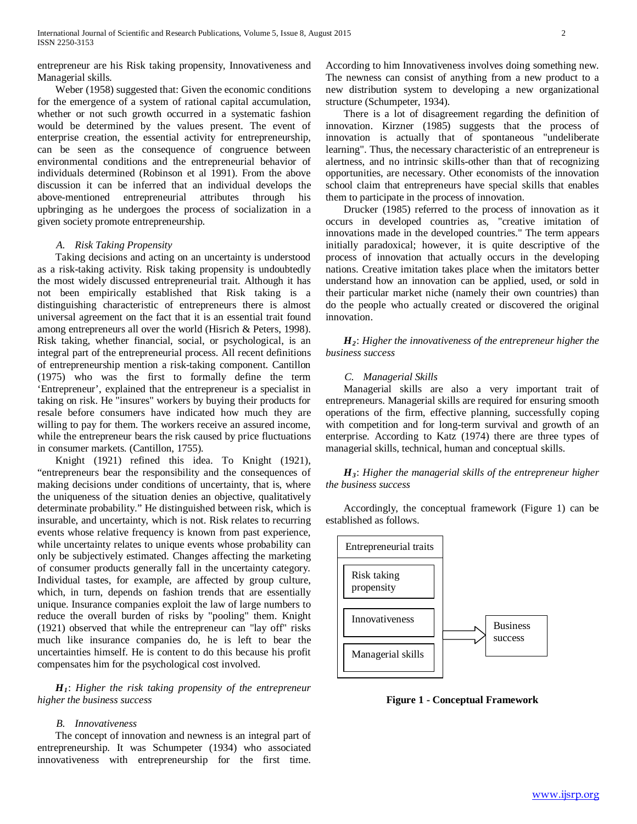entrepreneur are his Risk taking propensity, Innovativeness and Managerial skills.

 Weber (1958) suggested that: Given the economic conditions for the emergence of a system of rational capital accumulation, whether or not such growth occurred in a systematic fashion would be determined by the values present. The event of enterprise creation, the essential activity for entrepreneurship, can be seen as the consequence of congruence between environmental conditions and the entrepreneurial behavior of individuals determined (Robinson et al 1991). From the above discussion it can be inferred that an individual develops the above-mentioned entrepreneurial attributes through his upbringing as he undergoes the process of socialization in a given society promote entrepreneurship.

#### *A. Risk Taking Propensity*

 Taking decisions and acting on an uncertainty is understood as a risk-taking activity. Risk taking propensity is undoubtedly the most widely discussed entrepreneurial trait. Although it has not been empirically established that Risk taking is a distinguishing characteristic of entrepreneurs there is almost universal agreement on the fact that it is an essential trait found among entrepreneurs all over the world (Hisrich & Peters, 1998). Risk taking, whether financial, social, or psychological, is an integral part of the entrepreneurial process. All recent definitions of entrepreneurship mention a risk-taking component. Cantillon (1975) who was the first to formally define the term 'Entrepreneur', explained that the entrepreneur is a specialist in taking on risk. He "insures" workers by buying their products for resale before consumers have indicated how much they are willing to pay for them. The workers receive an assured income, while the entrepreneur bears the risk caused by price fluctuations in consumer markets. (Cantillon, 1755).

 Knight (1921) refined this idea. To Knight (1921), "entrepreneurs bear the responsibility and the consequences of making decisions under conditions of uncertainty, that is, where the uniqueness of the situation denies an objective, qualitatively determinate probability." He distinguished between risk, which is insurable, and uncertainty, which is not. Risk relates to recurring events whose relative frequency is known from past experience, while uncertainty relates to unique events whose probability can only be subjectively estimated. Changes affecting the marketing of consumer products generally fall in the uncertainty category. Individual tastes, for example, are affected by group culture, which, in turn, depends on fashion trends that are essentially unique. Insurance companies exploit the law of large numbers to reduce the overall burden of risks by "pooling" them. Knight (1921) observed that while the entrepreneur can "lay off" risks much like insurance companies do, he is left to bear the uncertainties himself. He is content to do this because his profit compensates him for the psychological cost involved.

 *H1*: *Higher the risk taking propensity of the entrepreneur higher the business success*

#### *B. Innovativeness*

 The concept of innovation and newness is an integral part of entrepreneurship. It was Schumpeter (1934) who associated innovativeness with entrepreneurship for the first time.

According to him Innovativeness involves doing something new. The newness can consist of anything from a new product to a new distribution system to developing a new organizational structure (Schumpeter, 1934).

 There is a lot of disagreement regarding the definition of innovation. Kirzner (1985) suggests that the process of innovation is actually that of spontaneous "undeliberate learning". Thus, the necessary characteristic of an entrepreneur is alertness, and no intrinsic skills-other than that of recognizing opportunities, are necessary. Other economists of the innovation school claim that entrepreneurs have special skills that enables them to participate in the process of innovation.

 Drucker (1985) referred to the process of innovation as it occurs in developed countries as, "creative imitation of innovations made in the developed countries." The term appears initially paradoxical; however, it is quite descriptive of the process of innovation that actually occurs in the developing nations. Creative imitation takes place when the imitators better understand how an innovation can be applied, used, or sold in their particular market niche (namely their own countries) than do the people who actually created or discovered the original innovation.

 *H2*: *Higher the innovativeness of the entrepreneur higher the business success*

#### *C. Managerial Skills*

 Managerial skills are also a very important trait of entrepreneurs. Managerial skills are required for ensuring smooth operations of the firm, effective planning, successfully coping with competition and for long-term survival and growth of an enterprise. According to Katz (1974) there are three types of managerial skills, technical, human and conceptual skills.

 *H3*: *Higher the managerial skills of the entrepreneur higher the business success*

 Accordingly, the conceptual framework (Figure 1) can be established as follows.



**Figure 1 - Conceptual Framework**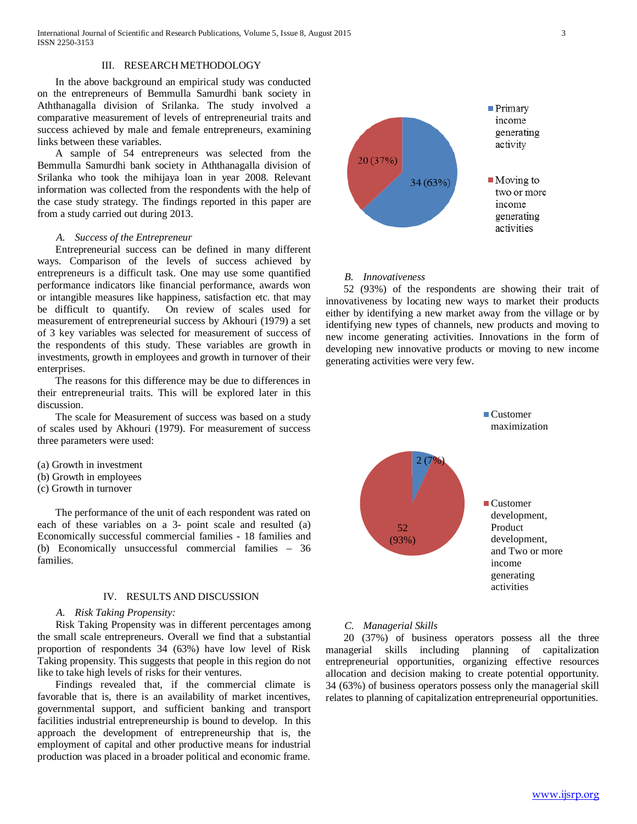International Journal of Scientific and Research Publications, Volume 5, Issue 8, August 2015 3 ISSN 2250-3153

## III. RESEARCH METHODOLOGY

 In the above background an empirical study was conducted on the entrepreneurs of Bemmulla Samurdhi bank society in Aththanagalla division of Srilanka. The study involved a comparative measurement of levels of entrepreneurial traits and success achieved by male and female entrepreneurs, examining links between these variables.

 A sample of 54 entrepreneurs was selected from the Bemmulla Samurdhi bank society in Aththanagalla division of Srilanka who took the mihijaya loan in year 2008. Relevant information was collected from the respondents with the help of the case study strategy. The findings reported in this paper are from a study carried out during 2013.

#### *A. Success of the Entrepreneur*

 Entrepreneurial success can be defined in many different ways. Comparison of the levels of success achieved by entrepreneurs is a difficult task. One may use some quantified performance indicators like financial performance, awards won or intangible measures like happiness, satisfaction etc. that may be difficult to quantify. On review of scales used for measurement of entrepreneurial success by Akhouri (1979) a set of 3 key variables was selected for measurement of success of the respondents of this study. These variables are growth in investments, growth in employees and growth in turnover of their enterprises.

 The reasons for this difference may be due to differences in their entrepreneurial traits. This will be explored later in this discussion.

 The scale for Measurement of success was based on a study of scales used by Akhouri (1979). For measurement of success three parameters were used:

- (a) Growth in investment
- (b) Growth in employees
- (c) Growth in turnover

 The performance of the unit of each respondent was rated on each of these variables on a 3- point scale and resulted (a) Economically successful commercial families - 18 families and (b) Economically unsuccessful commercial families – 36 families.

# IV. RESULTS AND DISCUSSION

#### *A. Risk Taking Propensity:*

 Risk Taking Propensity was in different percentages among the small scale entrepreneurs. Overall we find that a substantial proportion of respondents 34 (63%) have low level of Risk Taking propensity. This suggests that people in this region do not like to take high levels of risks for their ventures.

 Findings revealed that, if the commercial climate is favorable that is, there is an availability of market incentives, governmental support, and sufficient banking and transport facilities industrial entrepreneurship is bound to develop. In this approach the development of entrepreneurship that is, the employment of capital and other productive means for industrial production was placed in a broader political and economic frame.



#### *B. Innovativeness*

 52 (93%) of the respondents are showing their trait of innovativeness by locating new ways to market their products either by identifying a new market away from the village or by identifying new types of channels, new products and moving to new income generating activities. Innovations in the form of developing new innovative products or moving to new income generating activities were very few.



## *C. Managerial Skills*

 20 (37%) of business operators possess all the three managerial skills including planning of capitalization entrepreneurial opportunities, organizing effective resources allocation and decision making to create potential opportunity. 34 (63%) of business operators possess only the managerial skill relates to planning of capitalization entrepreneurial opportunities.